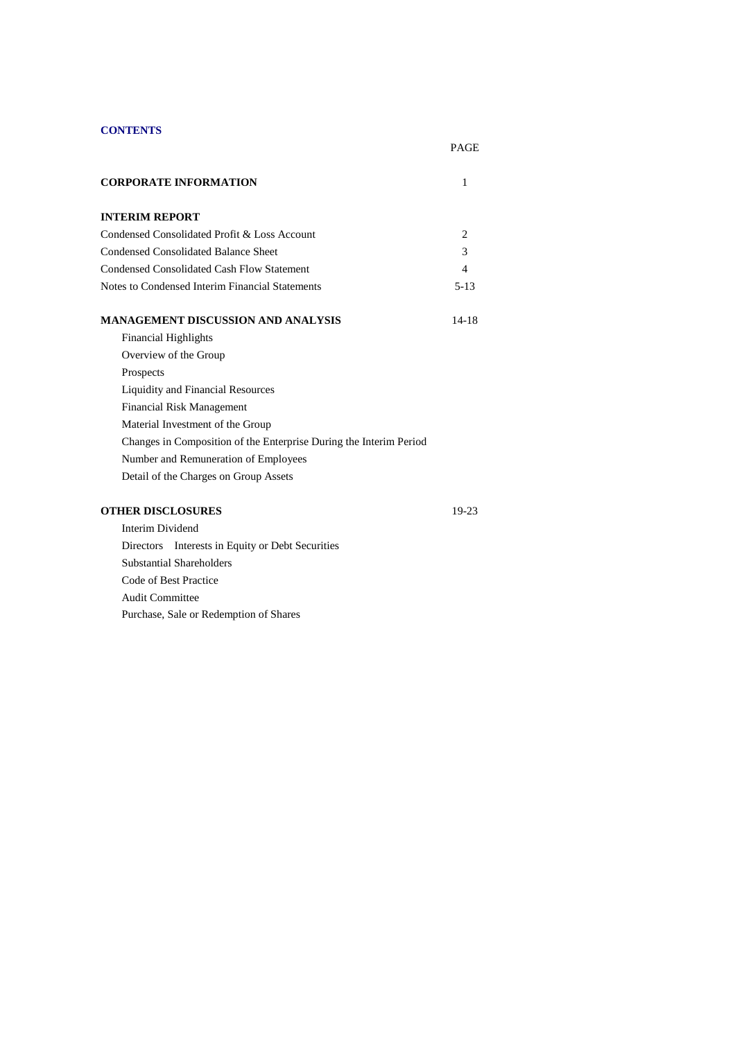# **CONTENTS**

# PAGE

| <b>CORPORATE INFORMATION</b>                                       | 1      |
|--------------------------------------------------------------------|--------|
| <b>INTERIM REPORT</b>                                              |        |
| Condensed Consolidated Profit & Loss Account                       | 2      |
| <b>Condensed Consolidated Balance Sheet</b>                        | 3      |
| <b>Condensed Consolidated Cash Flow Statement</b>                  | 4      |
| Notes to Condensed Interim Financial Statements                    | $5-13$ |
| MANAGEMENT DISCUSSION AND ANALYSIS                                 | 14-18  |
| <b>Financial Highlights</b>                                        |        |
| Overview of the Group                                              |        |
| Prospects                                                          |        |
| Liquidity and Financial Resources                                  |        |
| <b>Financial Risk Management</b>                                   |        |
| Material Investment of the Group                                   |        |
| Changes in Composition of the Enterprise During the Interim Period |        |
| Number and Remuneration of Employees                               |        |
| Detail of the Charges on Group Assets                              |        |
| <b>OTHER DISCLOSURES</b>                                           | 19-23  |

 Interim Dividend Directors Interests in Equity or Debt Securities Substantial Shareholders Code of Best Practice Audit Committee Purchase, Sale or Redemption of Shares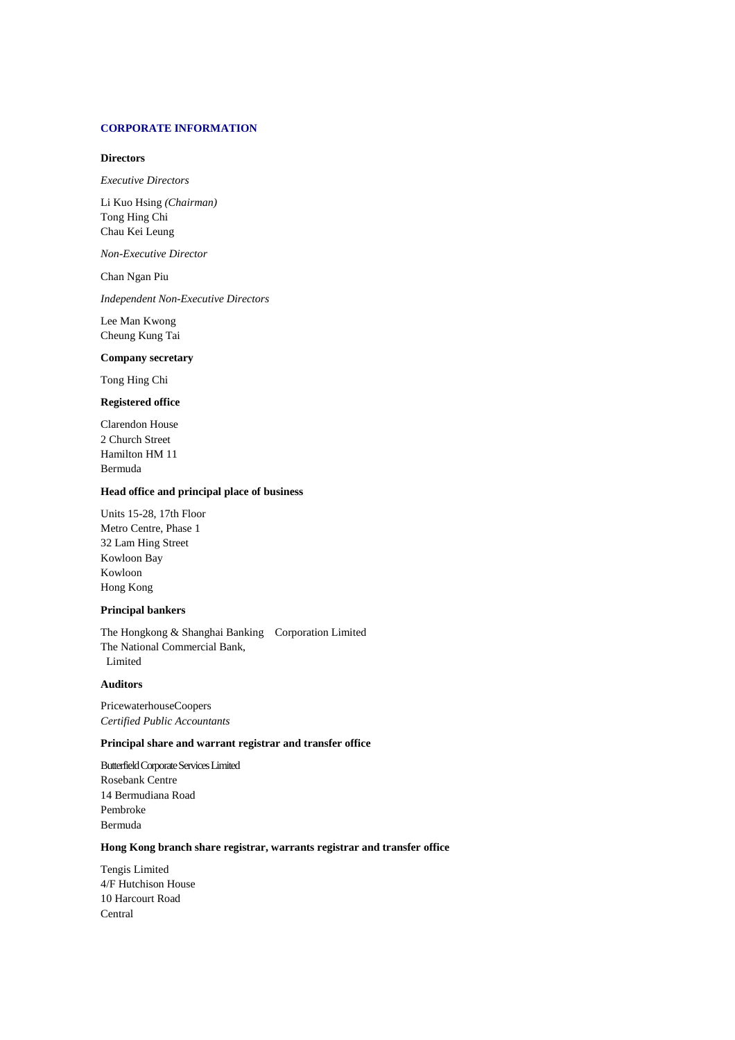### **CORPORATE INFORMATION**

### **Directors**

*Executive Directors*

Li Kuo Hsing *(Chairman)* Tong Hing Chi Chau Kei Leung

*Non-Executive Director*

Chan Ngan Piu

*Independent Non-Executive Directors*

Lee Man Kwong Cheung Kung Tai

### **Company secretary**

Tong Hing Chi

### **Registered office**

Clarendon House 2 Church Street Hamilton HM 11 Bermuda

#### **Head office and principal place of business**

Units 15-28, 17th Floor Metro Centre, Phase 1 32 Lam Hing Street Kowloon Bay Kowloon Hong Kong

### **Principal bankers**

The Hongkong & Shanghai Banking Corporation Limited The National Commercial Bank, Limited

#### **Auditors**

PricewaterhouseCoopers *Certified Public Accountants*

### **Principal share and warrant registrar and transfer office**

Butterfield Corporate Services Limited Rosebank Centre 14 Bermudiana Road Pembroke Bermuda

# **Hong Kong branch share registrar, warrants registrar and transfer office**

Tengis Limited 4/F Hutchison House 10 Harcourt Road Central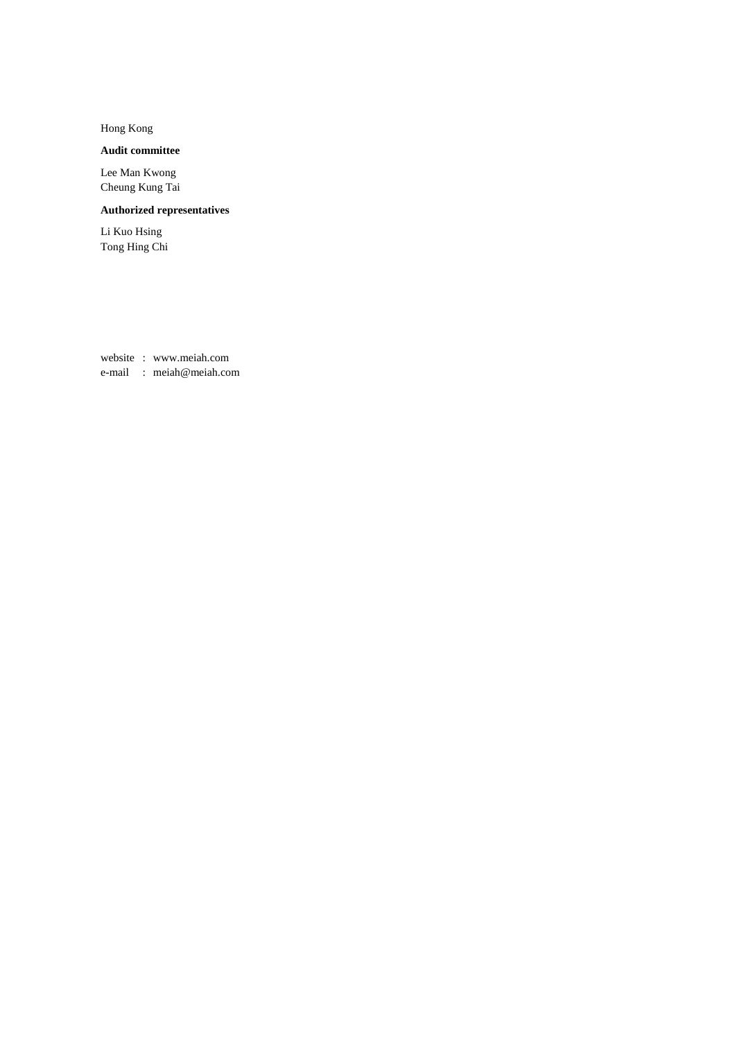Hong Kong

# **Audit committee**

Lee Man Kwong Cheung Kung Tai

# **Authorized representatives**

Li Kuo Hsing Tong Hing Chi

website : www.meiah.com e-mail : meiah@meiah.com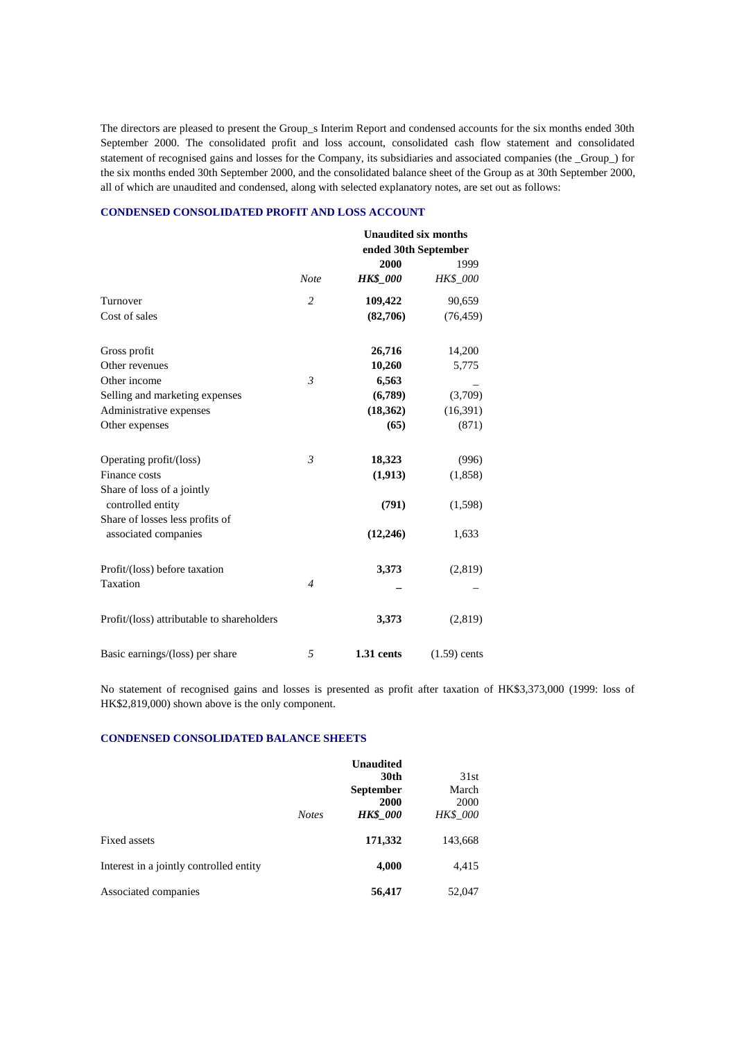The directors are pleased to present the Group\_s Interim Report and condensed accounts for the six months ended 30th September 2000. The consolidated profit and loss account, consolidated cash flow statement and consolidated statement of recognised gains and losses for the Company, its subsidiaries and associated companies (the \_Group\_) for the six months ended 30th September 2000, and the consolidated balance sheet of the Group as at 30th September 2000, all of which are unaudited and condensed, along with selected explanatory notes, are set out as follows:

#### **CONDENSED CONSOLIDATED PROFIT AND LOSS ACCOUNT**

|                                                 |                |                      | <b>Unaudited six months</b> |  |
|-------------------------------------------------|----------------|----------------------|-----------------------------|--|
|                                                 |                | ended 30th September |                             |  |
|                                                 |                | 2000                 | 1999                        |  |
|                                                 | <b>Note</b>    | <b>HK\$</b> 000      | <b>HK\$ 000</b>             |  |
| Turnover                                        | 2              | 109,422              | 90,659                      |  |
| Cost of sales                                   |                | (82,706)             | (76, 459)                   |  |
| Gross profit                                    |                | 26,716               | 14,200                      |  |
| Other revenues                                  |                | 10,260               | 5,775                       |  |
| Other income                                    | $\mathfrak{Z}$ | 6,563                |                             |  |
| Selling and marketing expenses                  |                | (6,789)              | (3,709)                     |  |
| Administrative expenses                         |                | (18,362)             | (16, 391)                   |  |
| Other expenses                                  |                | (65)                 | (871)                       |  |
| Operating profit/(loss)                         | $\mathfrak{Z}$ | 18,323               | (996)                       |  |
| Finance costs                                   |                | (1, 913)             | (1,858)                     |  |
| Share of loss of a jointly<br>controlled entity |                | (791)                | (1,598)                     |  |
| Share of losses less profits of                 |                |                      |                             |  |
| associated companies                            |                | (12, 246)            | 1,633                       |  |
| Profit/(loss) before taxation                   |                | 3,373                | (2,819)                     |  |
| Taxation                                        | $\overline{4}$ |                      |                             |  |
| Profit/(loss) attributable to shareholders      |                | 3,373                | (2,819)                     |  |
| Basic earnings/(loss) per share                 | 5              | 1.31 cents           | $(1.59)$ cents              |  |

No statement of recognised gains and losses is presented as profit after taxation of HK\$3,373,000 (1999: loss of HK\$2,819,000) shown above is the only component.

### **CONDENSED CONSOLIDATED BALANCE SHEETS**

|                                         | <b>Notes</b> | <b>Unaudited</b><br>30th<br><b>September</b><br>2000<br><b>HK\$</b> 000 | 31st<br>March<br>2000<br><b>HK\$_000</b> |
|-----------------------------------------|--------------|-------------------------------------------------------------------------|------------------------------------------|
| Fixed assets                            |              | 171,332                                                                 | 143,668                                  |
| Interest in a jointly controlled entity |              | 4,000                                                                   | 4,415                                    |
| Associated companies                    |              | 56,417                                                                  | 52,047                                   |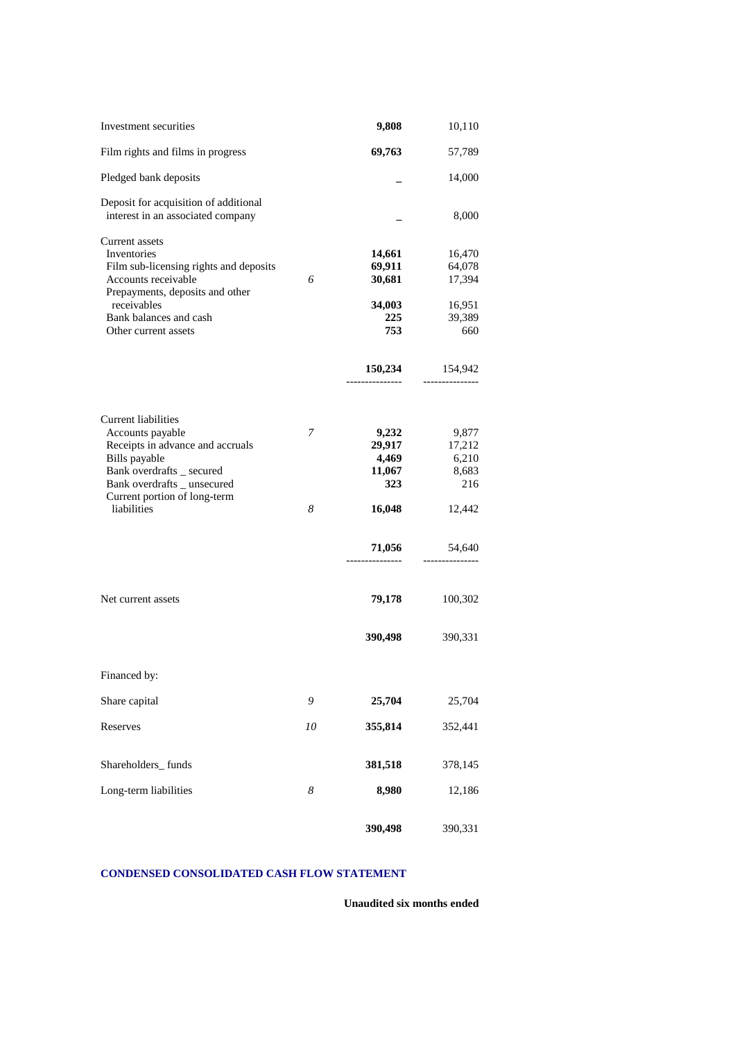| Investment securities                                                                                                                                                                                                         |                  | 9,808                                                                              | 10,110                                                                             |
|-------------------------------------------------------------------------------------------------------------------------------------------------------------------------------------------------------------------------------|------------------|------------------------------------------------------------------------------------|------------------------------------------------------------------------------------|
| Film rights and films in progress                                                                                                                                                                                             |                  | 69,763                                                                             | 57,789                                                                             |
| Pledged bank deposits                                                                                                                                                                                                         |                  |                                                                                    | 14,000                                                                             |
| Deposit for acquisition of additional<br>interest in an associated company                                                                                                                                                    |                  |                                                                                    | 8,000                                                                              |
| <b>Current assets</b><br>Inventories<br>Film sub-licensing rights and deposits<br>Accounts receivable<br>Prepayments, deposits and other<br>receivables<br>Bank balances and cash<br>Other current assets                     | 6                | 14,661<br>69,911<br>30,681<br>34,003<br>225<br>753                                 | 16,470<br>64,078<br>17,394<br>16,951<br>39,389<br>660                              |
|                                                                                                                                                                                                                               |                  | 150,234                                                                            | 154,942                                                                            |
| Current liabilities<br>Accounts payable<br>Receipts in advance and accruals<br>Bills payable<br>Bank overdrafts _ secured<br>Bank overdrafts _ unsecured<br>Current portion of long-term<br>liabilities<br>Net current assets | 7<br>8           | 9,232<br>29,917<br>4,469<br>11,067<br>323<br>16,048<br>71,056<br>79,178<br>390,498 | 9,877<br>17,212<br>6,210<br>8,683<br>216<br>12,442<br>54,640<br>100,302<br>390,331 |
| Financed by:                                                                                                                                                                                                                  |                  |                                                                                    |                                                                                    |
| Share capital                                                                                                                                                                                                                 | 9                | 25,704                                                                             | 25,704                                                                             |
| Reserves                                                                                                                                                                                                                      | 10               | 355,814                                                                            | 352,441                                                                            |
| Shareholders_funds                                                                                                                                                                                                            |                  | 381,518                                                                            | 378,145                                                                            |
| Long-term liabilities                                                                                                                                                                                                         | $\boldsymbol{8}$ | 8,980                                                                              | 12,186                                                                             |
|                                                                                                                                                                                                                               |                  | 390,498                                                                            | 390,331                                                                            |

# **CONDENSED CONSOLIDATED CASH FLOW STATEMENT**

**Unaudited six months ended**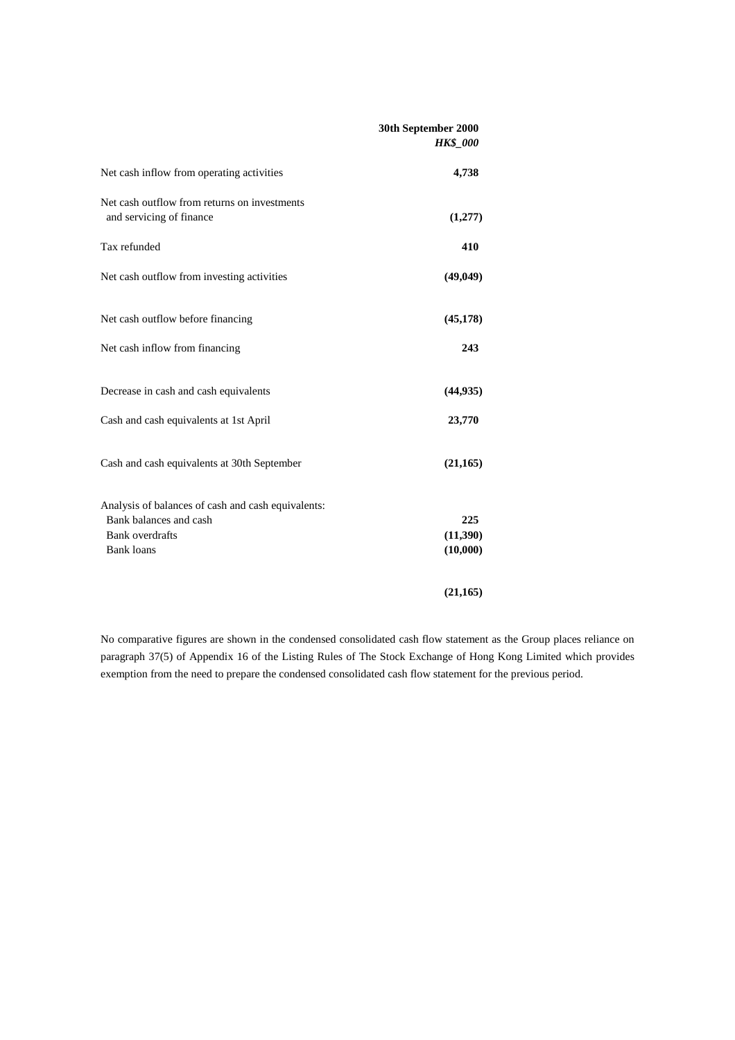|                                                                          | 30th September 2000<br><b>HK\$_000</b> |
|--------------------------------------------------------------------------|----------------------------------------|
| Net cash inflow from operating activities                                | 4,738                                  |
| Net cash outflow from returns on investments<br>and servicing of finance | (1,277)                                |
| Tax refunded                                                             | 410                                    |
| Net cash outflow from investing activities                               | (49, 049)                              |
| Net cash outflow before financing                                        | (45, 178)                              |
| Net cash inflow from financing                                           | 243                                    |
| Decrease in cash and cash equivalents                                    | (44, 935)                              |
| Cash and cash equivalents at 1st April                                   | 23,770                                 |
| Cash and cash equivalents at 30th September                              | (21, 165)                              |
| Analysis of balances of cash and cash equivalents:                       |                                        |
| Bank balances and cash                                                   | 225                                    |
| <b>Bank</b> overdrafts                                                   | (11,390)                               |
| <b>Bank</b> loans                                                        | (10,000)                               |
|                                                                          | (21, 165)                              |

No comparative figures are shown in the condensed consolidated cash flow statement as the Group places reliance on paragraph 37(5) of Appendix 16 of the Listing Rules of The Stock Exchange of Hong Kong Limited which provides exemption from the need to prepare the condensed consolidated cash flow statement for the previous period.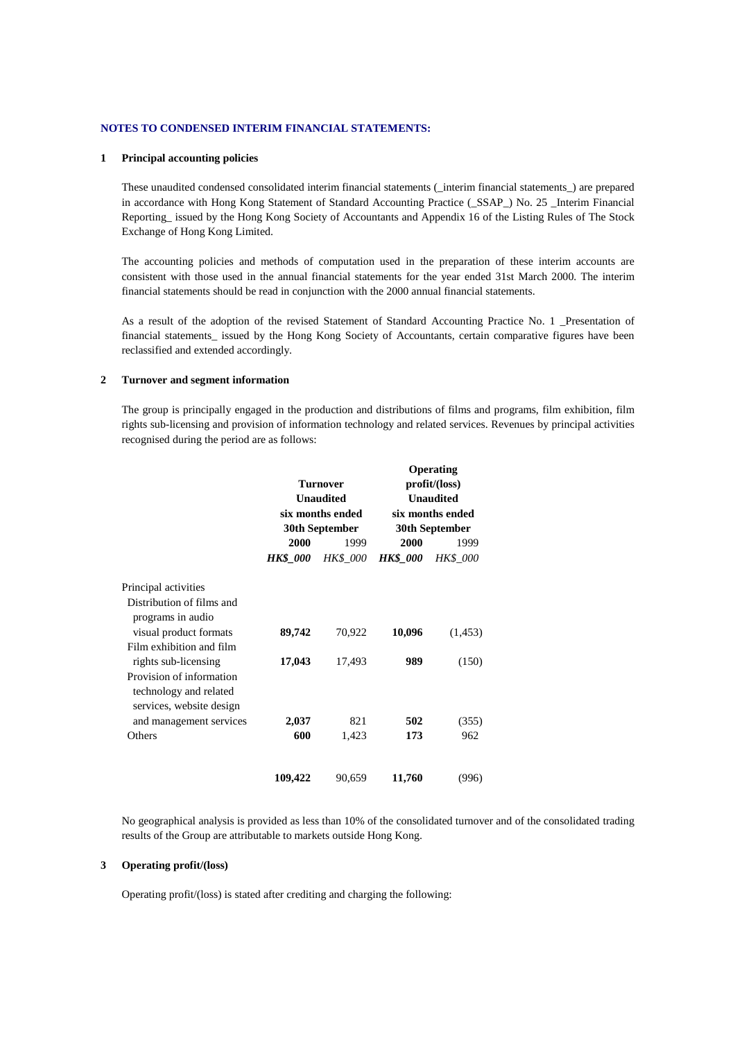### **NOTES TO CONDENSED INTERIM FINANCIAL STATEMENTS:**

#### **1 Principal accounting policies**

These unaudited condensed consolidated interim financial statements (\_interim financial statements\_) are prepared in accordance with Hong Kong Statement of Standard Accounting Practice (\_SSAP\_) No. 25 \_Interim Financial Reporting\_ issued by the Hong Kong Society of Accountants and Appendix 16 of the Listing Rules of The Stock Exchange of Hong Kong Limited.

The accounting policies and methods of computation used in the preparation of these interim accounts are consistent with those used in the annual financial statements for the year ended 31st March 2000. The interim financial statements should be read in conjunction with the 2000 annual financial statements.

As a result of the adoption of the revised Statement of Standard Accounting Practice No. 1 \_Presentation of financial statements\_ issued by the Hong Kong Society of Accountants, certain comparative figures have been reclassified and extended accordingly.

#### **2 Turnover and segment information**

The group is principally engaged in the production and distributions of films and programs, film exhibition, film rights sub-licensing and provision of information technology and related services. Revenues by principal activities recognised during the period are as follows:

|                                      |                 |                                             | Operating        |                  |  |  |                |
|--------------------------------------|-----------------|---------------------------------------------|------------------|------------------|--|--|----------------|
|                                      |                 |                                             | profit/(loss)    |                  |  |  |                |
| <b>Unaudited</b><br>six months ended |                 |                                             | <b>Unaudited</b> |                  |  |  |                |
|                                      |                 |                                             |                  | six months ended |  |  |                |
|                                      |                 |                                             |                  |                  |  |  | 30th September |
| 2000                                 | 1999            | 2000                                        | 1999             |                  |  |  |                |
| <b>HK\$</b> 000                      | <b>HK\$</b> 000 | <b>HK\$</b> 000                             | <b>HK\$ 000</b>  |                  |  |  |                |
|                                      |                 |                                             |                  |                  |  |  |                |
|                                      |                 |                                             |                  |                  |  |  |                |
| 89,742                               | 70,922          | 10,096                                      | (1,453)          |                  |  |  |                |
|                                      |                 |                                             |                  |                  |  |  |                |
| 17,043                               | 17,493          | 989                                         | (150)            |                  |  |  |                |
|                                      |                 |                                             |                  |                  |  |  |                |
|                                      |                 |                                             |                  |                  |  |  |                |
|                                      |                 |                                             |                  |                  |  |  |                |
| 2,037                                | 821             | 502                                         | (355)            |                  |  |  |                |
| 600                                  | 1,423           | 173                                         | 962              |                  |  |  |                |
|                                      |                 |                                             | (996)            |                  |  |  |                |
|                                      | 109,422         | <b>Turnover</b><br>30th September<br>90,659 | 11,760           |                  |  |  |                |

No geographical analysis is provided as less than 10% of the consolidated turnover and of the consolidated trading results of the Group are attributable to markets outside Hong Kong.

### **3 Operating profit/(loss)**

Operating profit/(loss) is stated after crediting and charging the following: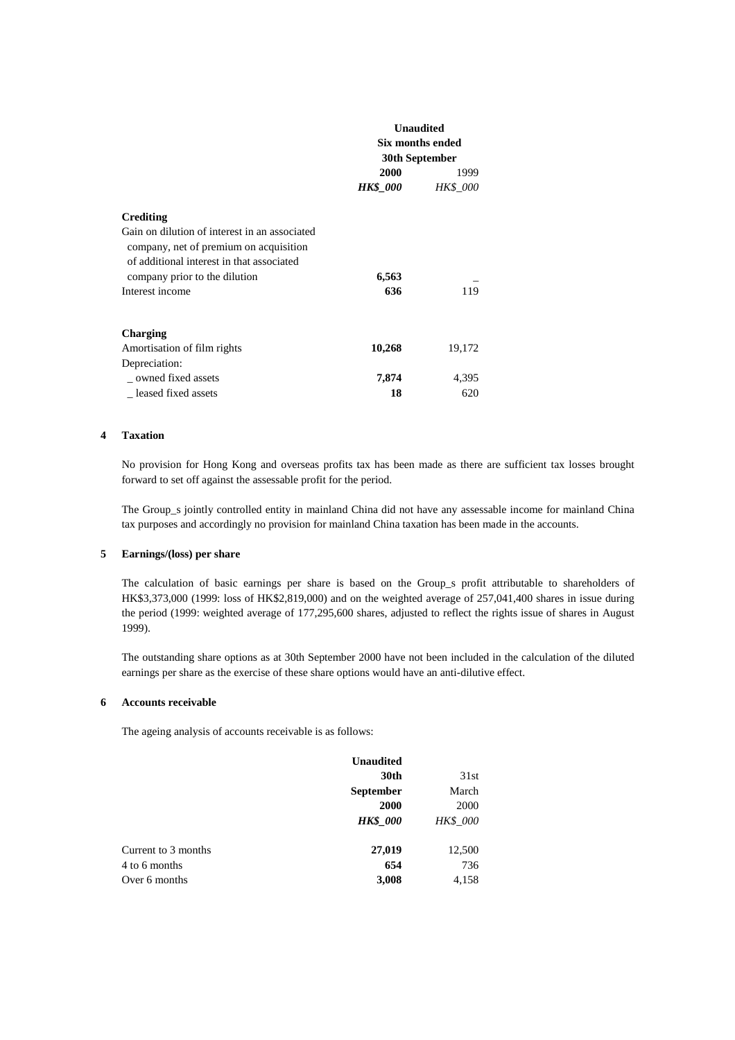|                                                                                                                                      | <b>Unaudited</b><br>Six months ended<br>30th September |                 |
|--------------------------------------------------------------------------------------------------------------------------------------|--------------------------------------------------------|-----------------|
|                                                                                                                                      | 2000                                                   | 1999            |
|                                                                                                                                      | HK\$_000                                               | <b>HK\$</b> 000 |
| Crediting                                                                                                                            |                                                        |                 |
| Gain on dilution of interest in an associated<br>company, net of premium on acquisition<br>of additional interest in that associated |                                                        |                 |
| company prior to the dilution                                                                                                        | 6,563                                                  |                 |
| Interest income                                                                                                                      | 636                                                    | 119             |
| Charging                                                                                                                             |                                                        |                 |
| Amortisation of film rights                                                                                                          | 10,268                                                 | 19,172          |
| Depreciation:                                                                                                                        |                                                        |                 |
| owned fixed assets                                                                                                                   | 7,874                                                  | 4,395           |
| leased fixed assets                                                                                                                  | 18                                                     | 620             |

#### **4 Taxation**

No provision for Hong Kong and overseas profits tax has been made as there are sufficient tax losses brought forward to set off against the assessable profit for the period.

The Group s jointly controlled entity in mainland China did not have any assessable income for mainland China tax purposes and accordingly no provision for mainland China taxation has been made in the accounts.

#### **5 Earnings/(loss) per share**

The calculation of basic earnings per share is based on the Group\_s profit attributable to shareholders of HK\$3,373,000 (1999: loss of HK\$2,819,000) and on the weighted average of 257,041,400 shares in issue during the period (1999: weighted average of 177,295,600 shares, adjusted to reflect the rights issue of shares in August 1999).

The outstanding share options as at 30th September 2000 have not been included in the calculation of the diluted earnings per share as the exercise of these share options would have an anti-dilutive effect.

### **6 Accounts receivable**

The ageing analysis of accounts receivable is as follows:

|                     | 30th             | 31st            |
|---------------------|------------------|-----------------|
|                     | <b>September</b> | March           |
|                     | 2000             | 2000            |
|                     | <b>HK\$</b> 000  | <b>HK\$ 000</b> |
| Current to 3 months | 27,019           | 12,500          |
| 4 to 6 months       | 654              | 736             |
| Over 6 months       | 3,008            | 4,158           |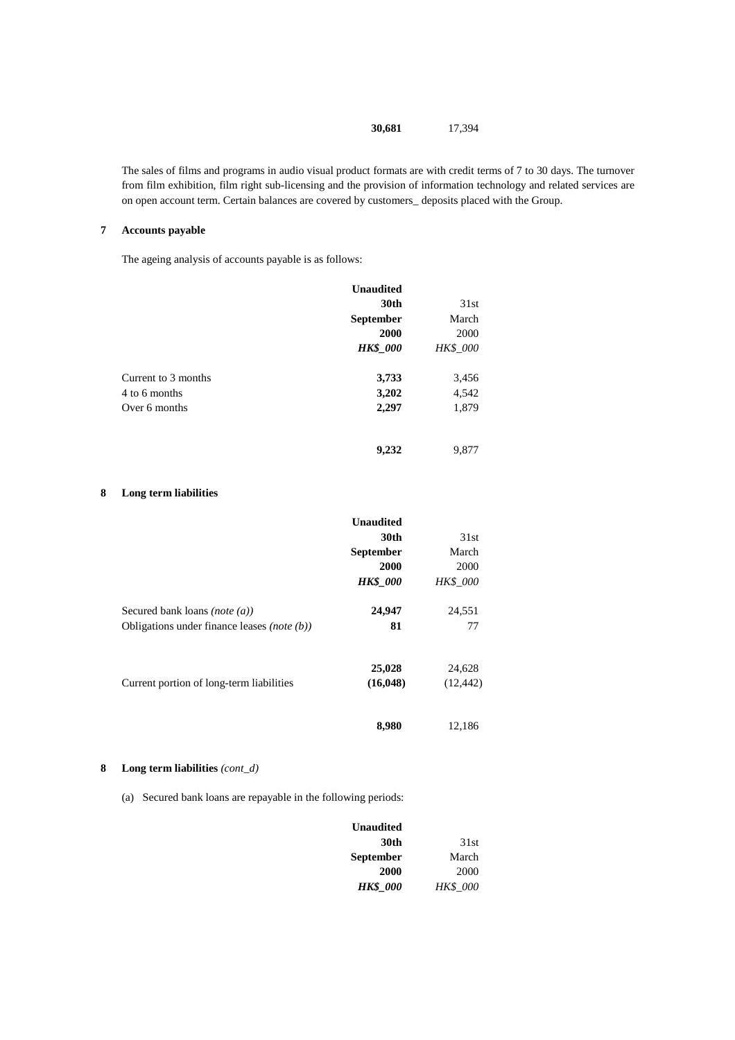### **30,681** 17,394

The sales of films and programs in audio visual product formats are with credit terms of 7 to 30 days. The turnover from film exhibition, film right sub-licensing and the provision of information technology and related services are on open account term. Certain balances are covered by customers\_ deposits placed with the Group.

### **7 Accounts payable**

The ageing analysis of accounts payable is as follows:

|                     | <b>Unaudited</b> |          |
|---------------------|------------------|----------|
|                     | 30th             | 31st     |
|                     | <b>September</b> | March    |
|                     | 2000             | 2000     |
|                     | <b>HK\$</b> 000  | HK\$_000 |
| Current to 3 months | 3,733            | 3,456    |
| 4 to 6 months       | 3,202            | 4,542    |
| Over 6 months       | 2,297            | 1,879    |
|                     | 9,232            | 9,877    |

### **8 Long term liabilities**

|                                                        | <b>Unaudited</b> |                 |
|--------------------------------------------------------|------------------|-----------------|
|                                                        | 30th             | 31st            |
|                                                        | <b>September</b> | March           |
|                                                        | 2000             | 2000            |
|                                                        | <b>HK\$</b> 000  | <b>HK\$</b> 000 |
| Secured bank loans ( <i>note</i> $(a)$ )               | 24,947           | 24,551          |
| Obligations under finance leases ( <i>note</i> $(b)$ ) | 81               | 77              |
|                                                        | 25,028           | 24,628          |
| Current portion of long-term liabilities               | (16, 048)        | (12, 442)       |
|                                                        | 8,980            | 12,186          |

### **8 Long term liabilities** *(cont\_d)*

(a) Secured bank loans are repayable in the following periods:

| Unaudited        |                 |
|------------------|-----------------|
| 30th             | 31st            |
| <b>September</b> | March           |
| 2000             | 2000            |
| <b>HK\$</b> 000  | <b>HK\$</b> 000 |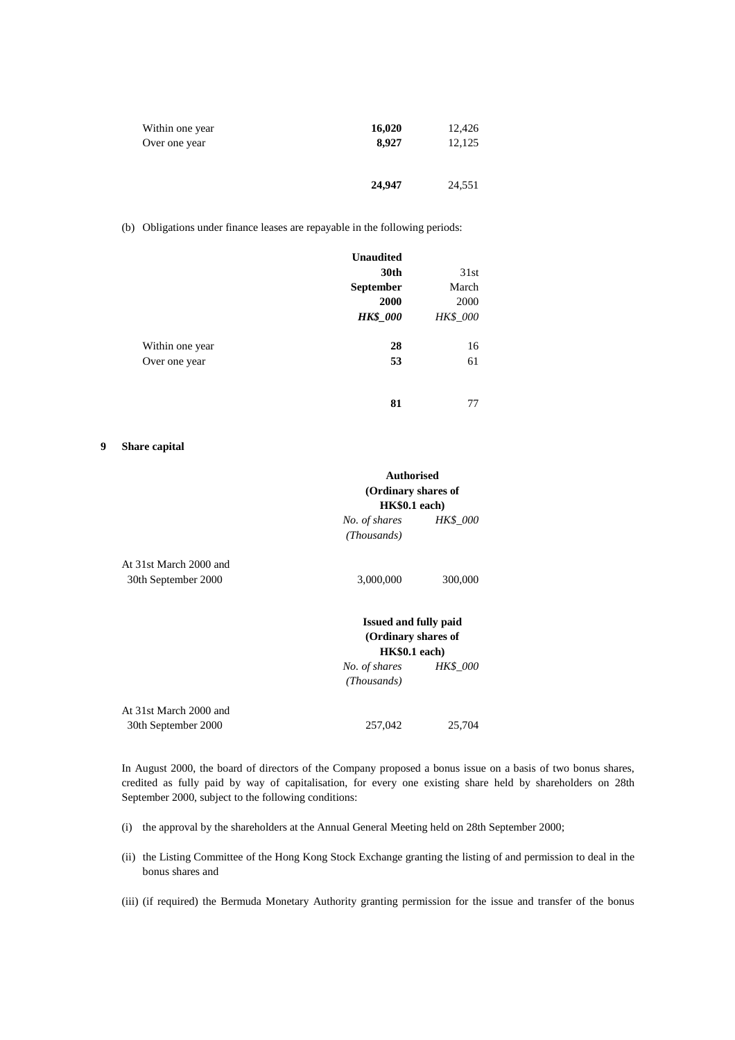| Within one year | 16,020 | 12,426 |
|-----------------|--------|--------|
| Over one year   | 8.927  | 12,125 |
|                 | 24,947 | 24,551 |

(b) Obligations under finance leases are repayable in the following periods:

|                 | <b>Unaudited</b> |          |
|-----------------|------------------|----------|
|                 | 30th             | 31st     |
|                 | <b>September</b> | March    |
|                 | 2000             | 2000     |
|                 | <b>HK\$_000</b>  | HK\$_000 |
| Within one year | 28               | 16       |
| Over one year   | 53               | 61       |
|                 |                  |          |
|                 | 81               | 77       |

#### **9 Share capital**

|                                               | <b>Authorised</b><br>(Ordinary shares of<br>HK\$0.1 each)             |                 |
|-----------------------------------------------|-----------------------------------------------------------------------|-----------------|
|                                               | No. of shares<br>(Thousands)                                          | <b>HK\$ 000</b> |
| At 31st March 2000 and                        |                                                                       |                 |
| 30th September 2000                           | 3,000,000                                                             | 300,000         |
|                                               | <b>Issued and fully paid</b><br>(Ordinary shares of<br>$HK$0.1$ each) |                 |
|                                               | No. of shares<br>(Thousands)                                          | <b>HK\$</b> 000 |
| At 31st March 2000 and<br>30th September 2000 | 257,042                                                               | 25,704          |

In August 2000, the board of directors of the Company proposed a bonus issue on a basis of two bonus shares, credited as fully paid by way of capitalisation, for every one existing share held by shareholders on 28th September 2000, subject to the following conditions:

- (i) the approval by the shareholders at the Annual General Meeting held on 28th September 2000;
- (ii) the Listing Committee of the Hong Kong Stock Exchange granting the listing of and permission to deal in the bonus shares and
- (iii) (if required) the Bermuda Monetary Authority granting permission for the issue and transfer of the bonus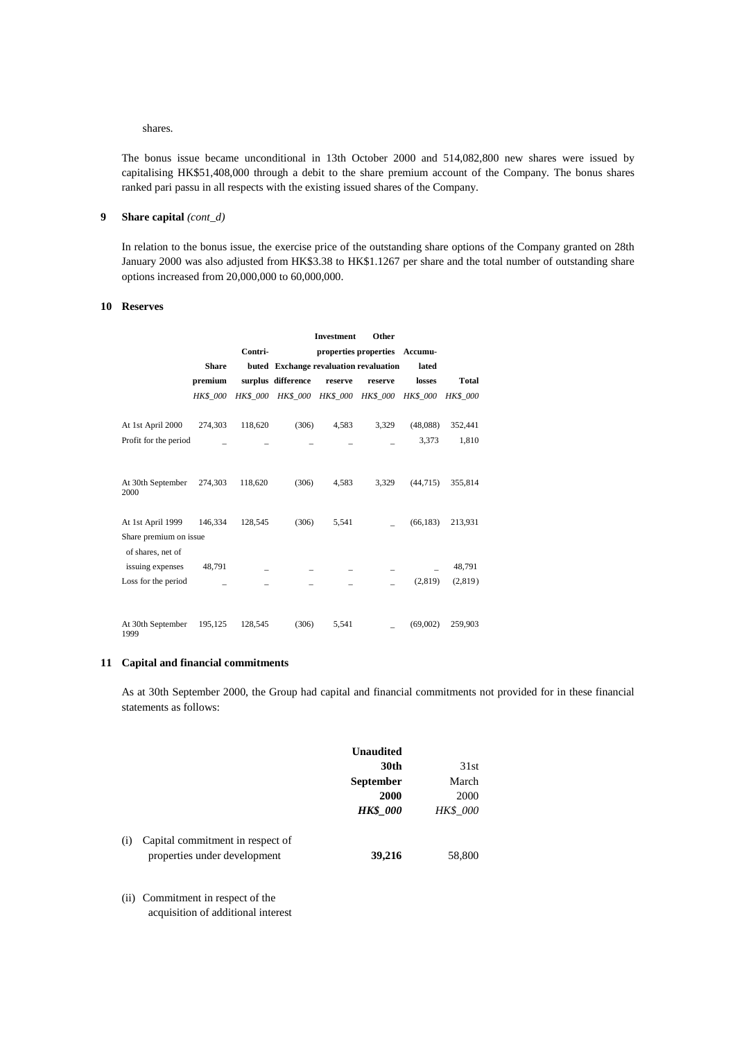#### shares.

The bonus issue became unconditional in 13th October 2000 and 514,082,800 new shares were issued by capitalising HK\$51,408,000 through a debit to the share premium account of the Company. The bonus shares ranked pari passu in all respects with the existing issued shares of the Company.

# **9 Share capital** *(cont\_d)*

In relation to the bonus issue, the exercise price of the outstanding share options of the Company granted on 28th January 2000 was also adjusted from HK\$3.38 to HK\$1.1267 per share and the total number of outstanding share options increased from 20,000,000 to 60,000,000.

### **10 Reserves**

|                           |                 |                 |                                        | Investment | Other                         |                 |                 |
|---------------------------|-----------------|-----------------|----------------------------------------|------------|-------------------------------|-----------------|-----------------|
|                           |                 | Contri-         |                                        |            | properties properties Accumu- |                 |                 |
|                           | <b>Share</b>    |                 | buted Exchange revaluation revaluation |            |                               | lated           |                 |
|                           | premium         |                 | surplus difference                     | reserve    | reserve                       | losses          | <b>Total</b>    |
|                           | <b>HK\$ 000</b> | <b>HK\$ 000</b> | HK\$_000 HK\$_000 HK\$_000             |            |                               | <b>HK\$</b> 000 | <b>HK\$</b> 000 |
| At 1st April 2000         | 274,303         | 118,620         | (306)                                  | 4,583      | 3,329                         | (48,088)        | 352,441         |
| Profit for the period     |                 |                 |                                        |            |                               | 3,373           | 1,810           |
|                           |                 |                 |                                        |            |                               |                 |                 |
| At 30th September<br>2000 | 274,303         | 118,620         | (306)                                  | 4,583      | 3,329                         | (44, 715)       | 355,814         |
| At 1st April 1999         | 146,334         | 128,545         | (306)                                  | 5,541      |                               | (66, 183)       | 213,931         |
| Share premium on issue    |                 |                 |                                        |            |                               |                 |                 |
| of shares, net of         |                 |                 |                                        |            |                               |                 |                 |
| issuing expenses          | 48,791          |                 |                                        |            |                               |                 | 48,791          |
| Loss for the period       |                 |                 |                                        |            |                               | (2,819)         | (2,819)         |
|                           |                 |                 |                                        |            |                               |                 |                 |
| At 30th September<br>1999 | 195,125         | 128,545         | (306)                                  | 5,541      |                               | (69,002)        | 259,903         |

### **11 Capital and financial commitments**

As at 30th September 2000, the Group had capital and financial commitments not provided for in these financial statements as follows:

| 31st            | <b>Unaudited</b><br>30th |                                                                  |     |
|-----------------|--------------------------|------------------------------------------------------------------|-----|
| March           | <b>September</b>         |                                                                  |     |
| 2000            | 2000                     |                                                                  |     |
| <b>HK\$</b> 000 | <b>HK\$</b> 000          |                                                                  |     |
| 58,800          | 39,216                   | Capital commitment in respect of<br>properties under development | (i) |

(ii) Commitment in respect of the acquisition of additional interest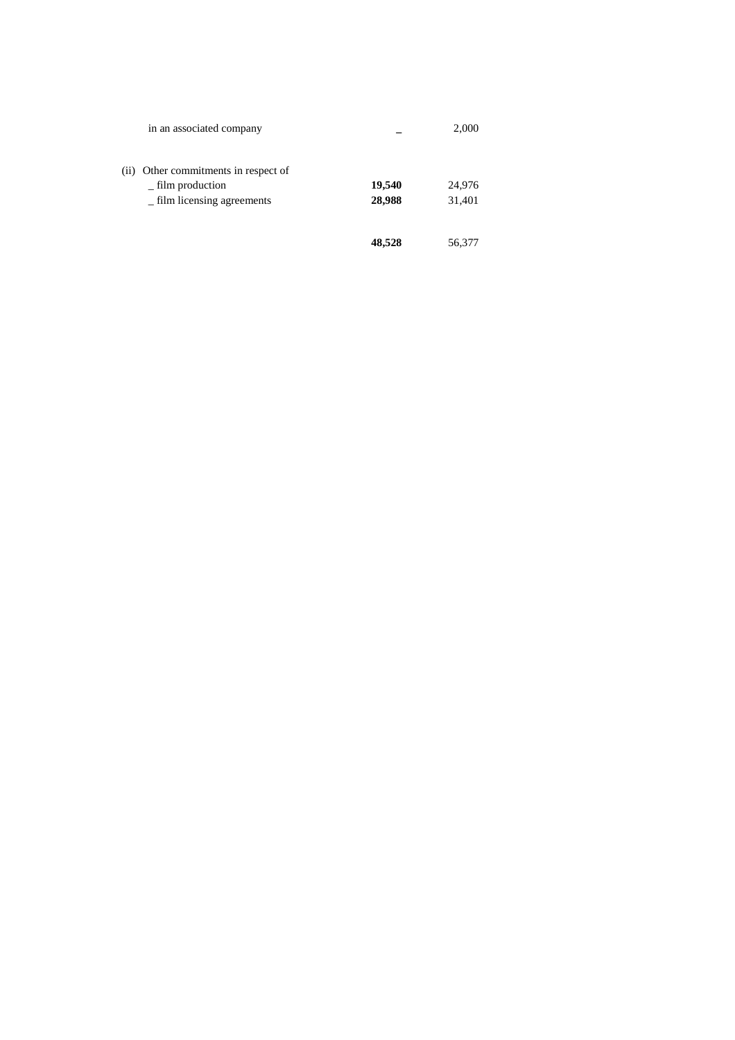| in an associated company                                                                   |                  | 2,000            |
|--------------------------------------------------------------------------------------------|------------------|------------------|
| (ii) Other commitments in respect of<br>$-$ film production<br>_ film licensing agreements | 19,540<br>28,988 | 24,976<br>31,401 |
|                                                                                            | 48,528           | 56,377           |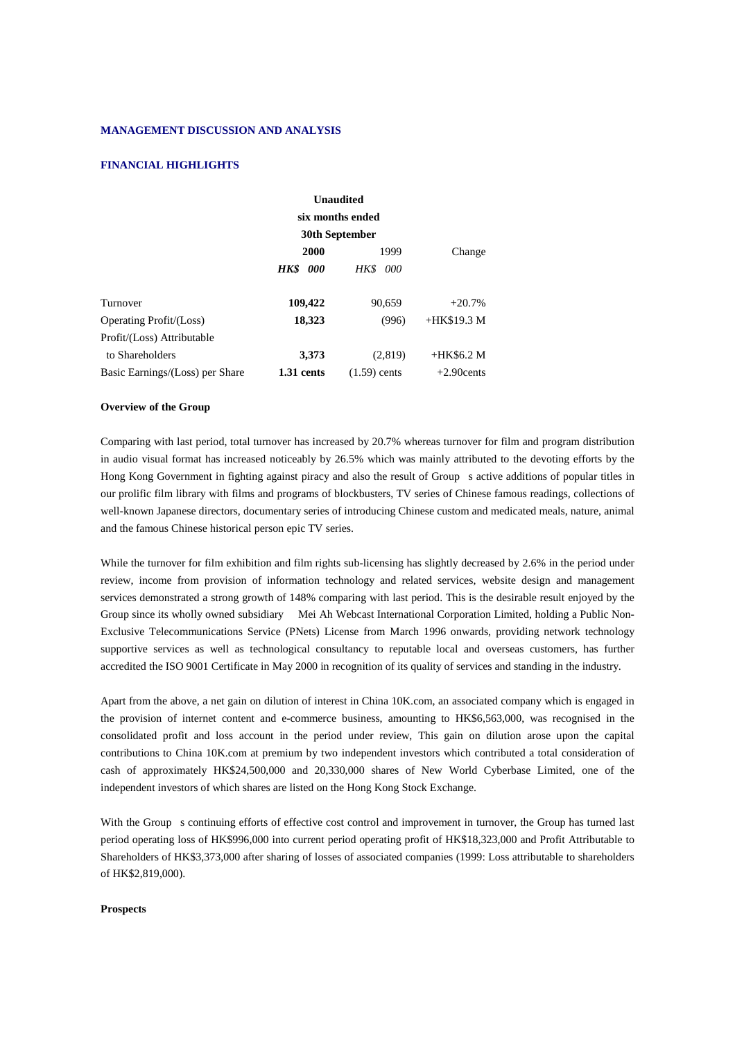#### **MANAGEMENT DISCUSSION AND ANALYSIS**

#### **FINANCIAL HIGHLIGHTS**

|                                 |                | <b>Unaudited</b> |               |
|---------------------------------|----------------|------------------|---------------|
|                                 |                | six months ended |               |
|                                 | 30th September |                  |               |
|                                 | 2000           | 1999             | Change        |
|                                 | HK\$<br>000    | <b>HK\$</b> 000  |               |
| Turnover                        | 109,422        | 90,659           | $+20.7%$      |
| <b>Operating Profit/(Loss)</b>  | 18,323         | (996)            | $+HK$19.3 M$  |
| Profit/(Loss) Attributable      |                |                  |               |
| to Shareholders                 | 3,373          | (2,819)          | $+HK$6.2 M$   |
| Basic Earnings/(Loss) per Share | 1.31 cents     | $(1.59)$ cents   | $+2.90$ cents |

#### **Overview of the Group**

Comparing with last period, total turnover has increased by 20.7% whereas turnover for film and program distribution in audio visual format has increased noticeably by 26.5% which was mainly attributed to the devoting efforts by the Hong Kong Government in fighting against piracy and also the result of Group s active additions of popular titles in our prolific film library with films and programs of blockbusters, TV series of Chinese famous readings, collections of well-known Japanese directors, documentary series of introducing Chinese custom and medicated meals, nature, animal and the famous Chinese historical person epic TV series.

While the turnover for film exhibition and film rights sub-licensing has slightly decreased by 2.6% in the period under review, income from provision of information technology and related services, website design and management services demonstrated a strong growth of 148% comparing with last period. This is the desirable result enjoyed by the Group since its wholly owned subsidiary Mei Ah Webcast International Corporation Limited, holding a Public Non-Exclusive Telecommunications Service (PNets) License from March 1996 onwards, providing network technology supportive services as well as technological consultancy to reputable local and overseas customers, has further accredited the ISO 9001 Certificate in May 2000 in recognition of its quality of services and standing in the industry.

Apart from the above, a net gain on dilution of interest in China 10K.com, an associated company which is engaged in the provision of internet content and e-commerce business, amounting to HK\$6,563,000, was recognised in the consolidated profit and loss account in the period under review, This gain on dilution arose upon the capital contributions to China 10K.com at premium by two independent investors which contributed a total consideration of cash of approximately HK\$24,500,000 and 20,330,000 shares of New World Cyberbase Limited, one of the independent investors of which shares are listed on the Hong Kong Stock Exchange.

With the Group s continuing efforts of effective cost control and improvement in turnover, the Group has turned last period operating loss of HK\$996,000 into current period operating profit of HK\$18,323,000 and Profit Attributable to Shareholders of HK\$3,373,000 after sharing of losses of associated companies (1999: Loss attributable to shareholders of HK\$2,819,000).

#### **Prospects**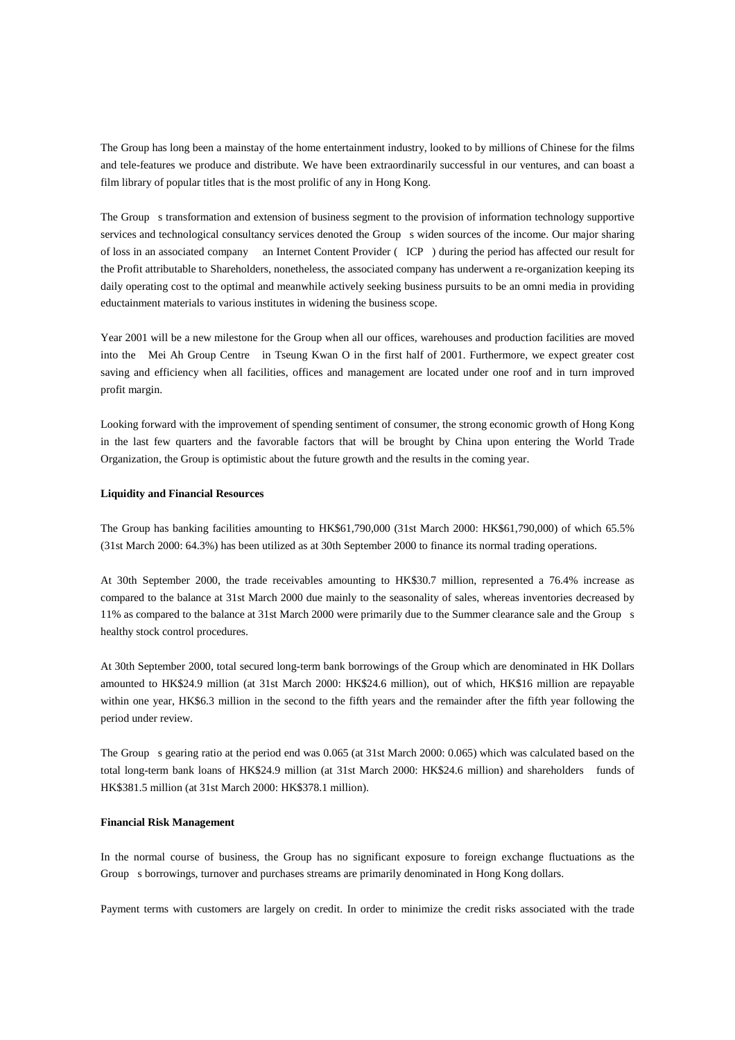The Group has long been a mainstay of the home entertainment industry, looked to by millions of Chinese for the films and tele-features we produce and distribute. We have been extraordinarily successful in our ventures, and can boast a film library of popular titles that is the most prolific of any in Hong Kong.

The Group s transformation and extension of business segment to the provision of information technology supportive services and technological consultancy services denoted the Group s widen sources of the income. Our major sharing of loss in an associated company an Internet Content Provider (ICP) during the period has affected our result for the Profit attributable to Shareholders, nonetheless, the associated company has underwent a re-organization keeping its daily operating cost to the optimal and meanwhile actively seeking business pursuits to be an omni media in providing eductainment materials to various institutes in widening the business scope.

Year 2001 will be a new milestone for the Group when all our offices, warehouses and production facilities are moved into the Mei Ah Group Centre in Tseung Kwan O in the first half of 2001. Furthermore, we expect greater cost saving and efficiency when all facilities, offices and management are located under one roof and in turn improved profit margin.

Looking forward with the improvement of spending sentiment of consumer, the strong economic growth of Hong Kong in the last few quarters and the favorable factors that will be brought by China upon entering the World Trade Organization, the Group is optimistic about the future growth and the results in the coming year.

#### **Liquidity and Financial Resources**

The Group has banking facilities amounting to HK\$61,790,000 (31st March 2000: HK\$61,790,000) of which 65.5% (31st March 2000: 64.3%) has been utilized as at 30th September 2000 to finance its normal trading operations.

At 30th September 2000, the trade receivables amounting to HK\$30.7 million, represented a 76.4% increase as compared to the balance at 31st March 2000 due mainly to the seasonality of sales, whereas inventories decreased by 11% as compared to the balance at 31st March 2000 were primarily due to the Summer clearance sale and the Group s healthy stock control procedures.

At 30th September 2000, total secured long-term bank borrowings of the Group which are denominated in HK Dollars amounted to HK\$24.9 million (at 31st March 2000: HK\$24.6 million), out of which, HK\$16 million are repayable within one year, HK\$6.3 million in the second to the fifth years and the remainder after the fifth year following the period under review.

The Group s gearing ratio at the period end was  $0.065$  (at 31st March 2000: 0.065) which was calculated based on the total long-term bank loans of HK\$24.9 million (at 31st March 2000: HK\$24.6 million) and shareholders funds of HK\$381.5 million (at 31st March 2000: HK\$378.1 million).

#### **Financial Risk Management**

In the normal course of business, the Group has no significant exposure to foreign exchange fluctuations as the Group s borrowings, turnover and purchases streams are primarily denominated in Hong Kong dollars.

Payment terms with customers are largely on credit. In order to minimize the credit risks associated with the trade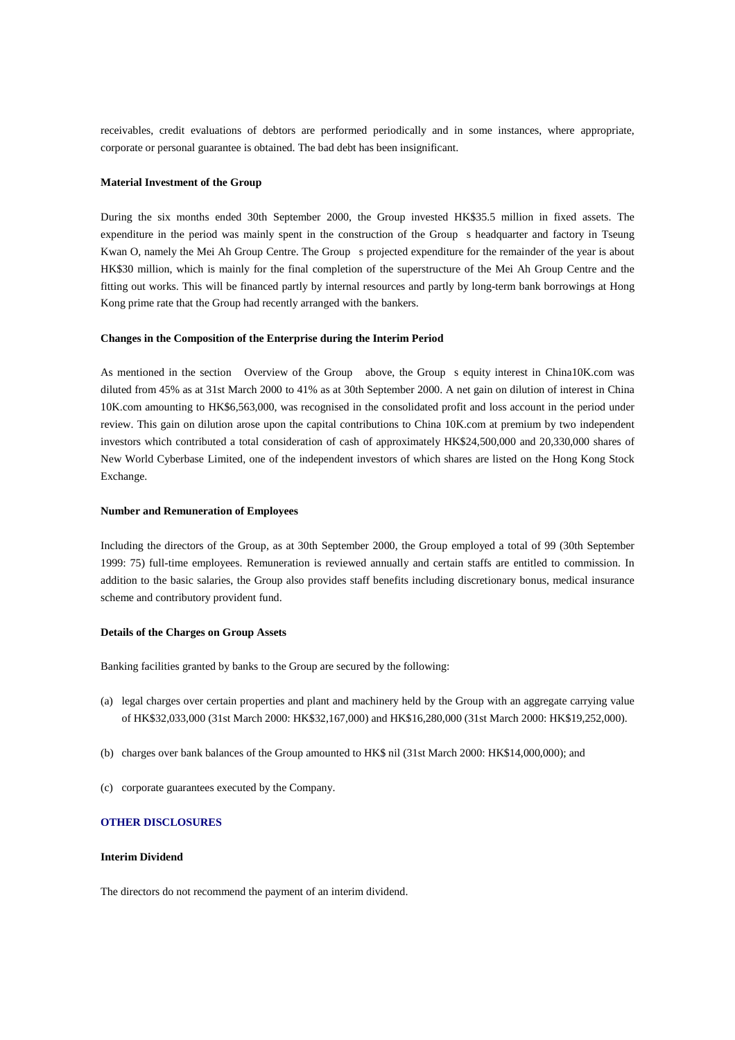receivables, credit evaluations of debtors are performed periodically and in some instances, where appropriate, corporate or personal guarantee is obtained. The bad debt has been insignificant.

#### **Material Investment of the Group**

During the six months ended 30th September 2000, the Group invested HK\$35.5 million in fixed assets. The expenditure in the period was mainly spent in the construction of the Group s headquarter and factory in Tseung Kwan O, namely the Mei Ah Group Centre. The Group s projected expenditure for the remainder of the year is about HK\$30 million, which is mainly for the final completion of the superstructure of the Mei Ah Group Centre and the fitting out works. This will be financed partly by internal resources and partly by long-term bank borrowings at Hong Kong prime rate that the Group had recently arranged with the bankers.

#### **Changes in the Composition of the Enterprise during the Interim Period**

As mentioned in the section Overview of the Group above, the Group s equity interest in China10K.com was diluted from 45% as at 31st March 2000 to 41% as at 30th September 2000. A net gain on dilution of interest in China 10K.com amounting to HK\$6,563,000, was recognised in the consolidated profit and loss account in the period under review. This gain on dilution arose upon the capital contributions to China 10K.com at premium by two independent investors which contributed a total consideration of cash of approximately HK\$24,500,000 and 20,330,000 shares of New World Cyberbase Limited, one of the independent investors of which shares are listed on the Hong Kong Stock Exchange.

### **Number and Remuneration of Employees**

Including the directors of the Group, as at 30th September 2000, the Group employed a total of 99 (30th September 1999: 75) full-time employees. Remuneration is reviewed annually and certain staffs are entitled to commission. In addition to the basic salaries, the Group also provides staff benefits including discretionary bonus, medical insurance scheme and contributory provident fund.

#### **Details of the Charges on Group Assets**

Banking facilities granted by banks to the Group are secured by the following:

- (a) legal charges over certain properties and plant and machinery held by the Group with an aggregate carrying value of HK\$32,033,000 (31st March 2000: HK\$32,167,000) and HK\$16,280,000 (31st March 2000: HK\$19,252,000).
- (b) charges over bank balances of the Group amounted to HK\$ nil (31st March 2000: HK\$14,000,000); and
- (c) corporate guarantees executed by the Company.

### **OTHER DISCLOSURES**

### **Interim Dividend**

The directors do not recommend the payment of an interim dividend.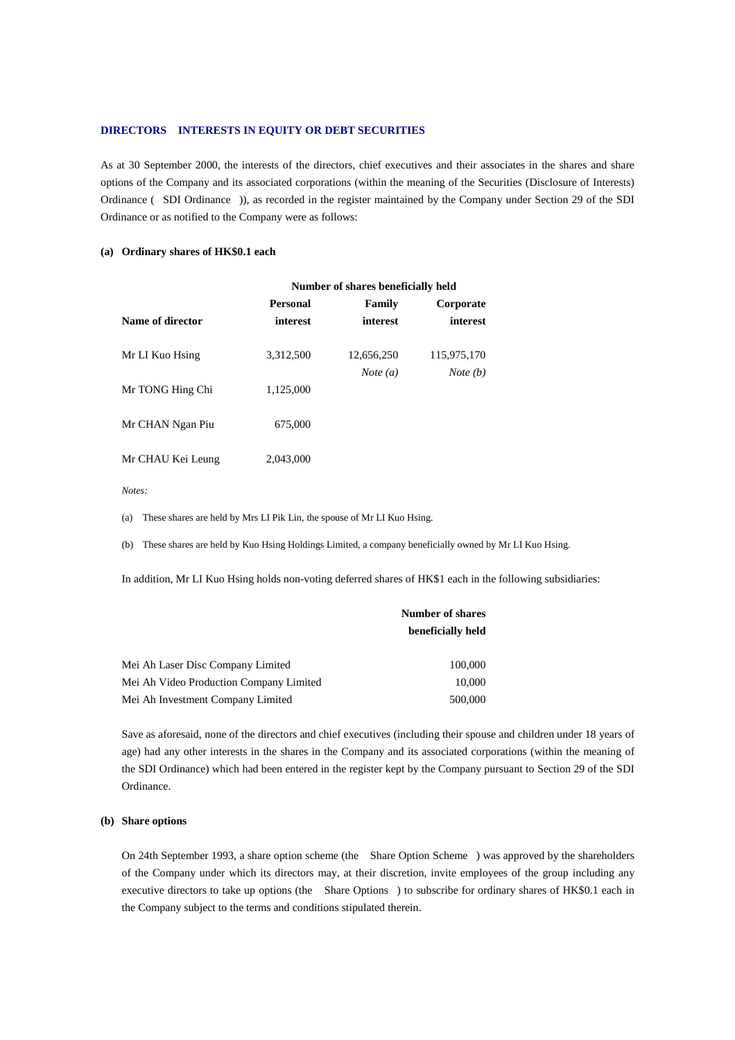#### **DIRECTORS INTERESTS IN EQUITY OR DEBT SECURITIES**

As at 30 September 2000, the interests of the directors, chief executives and their associates in the shares and share options of the Company and its associated corporations (within the meaning of the Securities (Disclosure of Interests) Ordinance (SDI Ordinance)), as recorded in the register maintained by the Company under Section 29 of the SDI Ordinance or as notified to the Company were as follows:

#### **(a) Ordinary shares of HK\$0.1 each**

|                   | Number of shares beneficially held |                                 |                                  |
|-------------------|------------------------------------|---------------------------------|----------------------------------|
|                   | <b>Personal</b>                    | Family                          | Corporate                        |
| Name of director  | interest                           | interest                        | interest                         |
| Mr LI Kuo Hsing   | 3,312,500                          | 12,656,250<br><i>Note</i> $(a)$ | 115,975,170<br><i>Note</i> $(b)$ |
| Mr TONG Hing Chi  | 1,125,000                          |                                 |                                  |
| Mr CHAN Ngan Piu  | 675,000                            |                                 |                                  |
| Mr CHAU Kei Leung | 2,043,000                          |                                 |                                  |

*Notes:*

(a) These shares are held by Mrs LI Pik Lin, the spouse of Mr LI Kuo Hsing.

(b) These shares are held by Kuo Hsing Holdings Limited, a company beneficially owned by Mr LI Kuo Hsing.

In addition, Mr LI Kuo Hsing holds non-voting deferred shares of HK\$1 each in the following subsidiaries:

|                                         | <b>Number of shares</b> |  |
|-----------------------------------------|-------------------------|--|
|                                         | beneficially held       |  |
| Mei Ah Laser Disc Company Limited       | 100,000                 |  |
| Mei Ah Video Production Company Limited | 10,000                  |  |
| Mei Ah Investment Company Limited       | 500,000                 |  |

Save as aforesaid, none of the directors and chief executives (including their spouse and children under 18 years of age) had any other interests in the shares in the Company and its associated corporations (within the meaning of the SDI Ordinance) which had been entered in the register kept by the Company pursuant to Section 29 of the SDI Ordinance.

### **(b) Share options**

On 24th September 1993, a share option scheme (the Share Option Scheme) was approved by the shareholders of the Company under which its directors may, at their discretion, invite employees of the group including any executive directors to take up options (the Share Options) to subscribe for ordinary shares of HK\$0.1 each in the Company subject to the terms and conditions stipulated therein.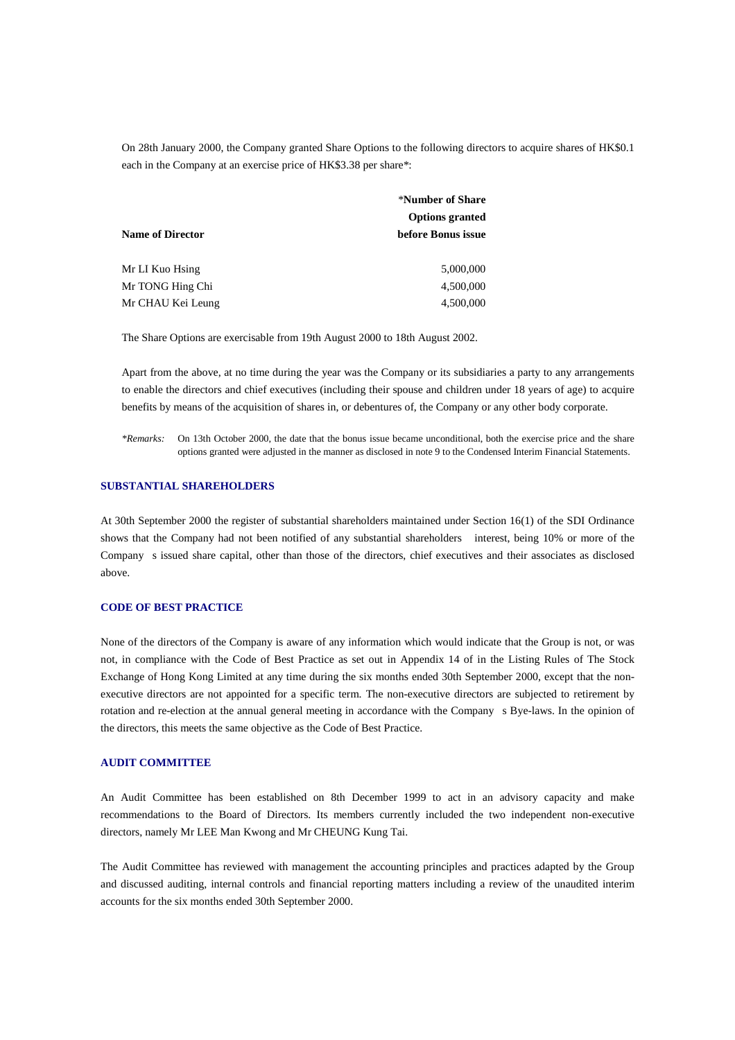On 28th January 2000, the Company granted Share Options to the following directors to acquire shares of HK\$0.1 each in the Company at an exercise price of HK\$3.38 per share\*:

|                         | *Number of Share       |  |
|-------------------------|------------------------|--|
|                         | <b>Options granted</b> |  |
| <b>Name of Director</b> | before Bonus issue     |  |
| Mr LI Kuo Hsing         | 5,000,000              |  |
| Mr TONG Hing Chi        | 4,500,000              |  |
| Mr CHAU Kei Leung       | 4,500,000              |  |

The Share Options are exercisable from 19th August 2000 to 18th August 2002.

Apart from the above, at no time during the year was the Company or its subsidiaries a party to any arrangements to enable the directors and chief executives (including their spouse and children under 18 years of age) to acquire benefits by means of the acquisition of shares in, or debentures of, the Company or any other body corporate.

*\*Remarks:* On 13th October 2000, the date that the bonus issue became unconditional, both the exercise price and the share options granted were adjusted in the manner as disclosed in note 9 to the Condensed Interim Financial Statements.

#### **SUBSTANTIAL SHAREHOLDERS**

At 30th September 2000 the register of substantial shareholders maintained under Section 16(1) of the SDI Ordinance shows that the Company had not been notified of any substantial shareholders interest, being 10% or more of the Companys issued share capital, other than those of the directors, chief executives and their associates as disclosed above.

### **CODE OF BEST PRACTICE**

None of the directors of the Company is aware of any information which would indicate that the Group is not, or was not, in compliance with the Code of Best Practice as set out in Appendix 14 of in the Listing Rules of The Stock Exchange of Hong Kong Limited at any time during the six months ended 30th September 2000, except that the nonexecutive directors are not appointed for a specific term. The non-executive directors are subjected to retirement by rotation and re-election at the annual general meeting in accordance with the Companys Bye-laws. In the opinion of the directors, this meets the same objective as the Code of Best Practice.

### **AUDIT COMMITTEE**

An Audit Committee has been established on 8th December 1999 to act in an advisory capacity and make recommendations to the Board of Directors. Its members currently included the two independent non-executive directors, namely Mr LEE Man Kwong and Mr CHEUNG Kung Tai.

The Audit Committee has reviewed with management the accounting principles and practices adapted by the Group and discussed auditing, internal controls and financial reporting matters including a review of the unaudited interim accounts for the six months ended 30th September 2000.